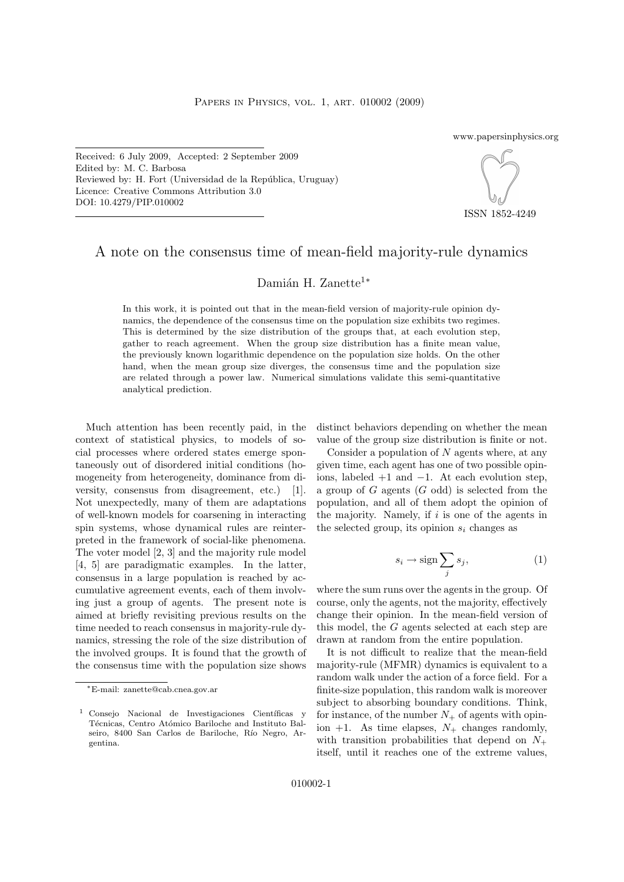www.papersinphysics.org

Received: 6 July 2009, Accepted: 2 September 2009 Edited by: M. C. Barbosa Reviewed by: H. Fort (Universidad de la República, Uruguay) Licence: Creative Commons Attribution 3.0 DOI: 10.4279/PIP.010002



ISSN 1852-4249

## A note on the consensus time of mean-field majority-rule dynamics

## Damián H. Zanette<sup>1</sup>\*

In this work, it is pointed out that in the mean-field version of majority-rule opinion dynamics, the dependence of the consensus time on the population size exhibits two regimes. This is determined by the size distribution of the groups that, at each evolution step, gather to reach agreement. When the group size distribution has a finite mean value, the previously known logarithmic dependence on the population size holds. On the other hand, when the mean group size diverges, the consensus time and the population size are related through a power law. Numerical simulations validate this semi-quantitative analytical prediction.

Much attention has been recently paid, in the context of statistical physics, to models of social processes where ordered states emerge spontaneously out of disordered initial conditions (homogeneity from heterogeneity, dominance from diversity, consensus from disagreement, etc.) [1]. Not unexpectedly, many of them are adaptations of well-known models for coarsening in interacting spin systems, whose dynamical rules are reinterpreted in the framework of social-like phenomena. The voter model [2, 3] and the majority rule model [4, 5] are paradigmatic examples. In the latter, consensus in a large population is reached by accumulative agreement events, each of them involving just a group of agents. The present note is aimed at briefly revisiting previous results on the time needed to reach consensus in majority-rule dynamics, stressing the role of the size distribution of the involved groups. It is found that the growth of the consensus time with the population size shows distinct behaviors depending on whether the mean value of the group size distribution is finite or not.

Consider a population of  $N$  agents where, at any given time, each agent has one of two possible opinions, labeled  $+1$  and  $-1$ . At each evolution step, a group of  $G$  agents  $(G \text{ odd})$  is selected from the population, and all of them adopt the opinion of the majority. Namely, if  $i$  is one of the agents in the selected group, its opinion  $s_i$  changes as

$$
s_i \to \text{sign} \sum_j s_j,\tag{1}
$$

where the sum runs over the agents in the group. Of course, only the agents, not the majority, effectively change their opinion. In the mean-field version of this model, the G agents selected at each step are drawn at random from the entire population.

It is not difficult to realize that the mean-field majority-rule (MFMR) dynamics is equivalent to a random walk under the action of a force field. For a finite-size population, this random walk is moreover subject to absorbing boundary conditions. Think, for instance, of the number  $N_+$  of agents with opinion  $+1$ . As time elapses,  $N_+$  changes randomly, with transition probabilities that depend on  $N_+$ itself, until it reaches one of the extreme values,

<sup>∗</sup>E-mail: zanette@cab.cnea.gov.ar

 $1$  Consejo Nacional de Investigaciones Científicas y Técnicas, Centro Atómico Bariloche and Instituto Balseiro, 8400 San Carlos de Bariloche, Río Negro, Argentina.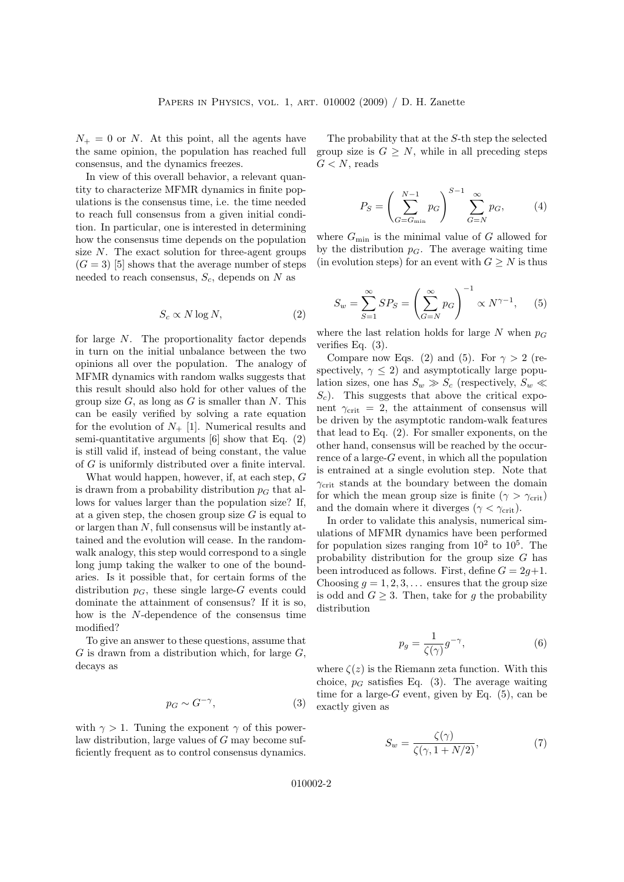$N_{+} = 0$  or N. At this point, all the agents have the same opinion, the population has reached full consensus, and the dynamics freezes.

In view of this overall behavior, a relevant quantity to characterize MFMR dynamics in finite populations is the consensus time, i.e. the time needed to reach full consensus from a given initial condition. In particular, one is interested in determining how the consensus time depends on the population size  $N$ . The exact solution for three-agent groups  $(G = 3)$  [5] shows that the average number of steps needed to reach consensus,  $S_c$ , depends on N as

$$
S_c \propto N \log N,\tag{2}
$$

for large N. The proportionality factor depends in turn on the initial unbalance between the two opinions all over the population. The analogy of MFMR dynamics with random walks suggests that this result should also hold for other values of the group size  $G$ , as long as  $G$  is smaller than  $N$ . This can be easily verified by solving a rate equation for the evolution of  $N_{+}$  [1]. Numerical results and semi-quantitative arguments  $[6]$  show that Eq.  $(2)$ is still valid if, instead of being constant, the value of G is uniformly distributed over a finite interval.

What would happen, however, if, at each step, G is drawn from a probability distribution  $p<sub>G</sub>$  that allows for values larger than the population size? If, at a given step, the chosen group size  $G$  is equal to or largen than  $N$ , full consensus will be instantly attained and the evolution will cease. In the randomwalk analogy, this step would correspond to a single long jump taking the walker to one of the boundaries. Is it possible that, for certain forms of the distribution  $p<sub>G</sub>$ , these single large-G events could dominate the attainment of consensus? If it is so, how is the N-dependence of the consensus time modified?

To give an answer to these questions, assume that  $G$  is drawn from a distribution which, for large  $G$ , decays as

$$
p_G \sim G^{-\gamma},\tag{3}
$$

with  $\gamma > 1$ . Tuning the exponent  $\gamma$  of this powerlaw distribution, large values of G may become sufficiently frequent as to control consensus dynamics.

The probability that at the S-th step the selected group size is  $G \geq N$ , while in all preceding steps  $G < N$ , reads

$$
P_S = \left(\sum_{G=G_{\min}}^{N-1} p_G\right)^{S-1} \sum_{G=N}^{\infty} p_G, \tag{4}
$$

where  $G_{\min}$  is the minimal value of G allowed for by the distribution  $p<sub>G</sub>$ . The average waiting time (in evolution steps) for an event with  $G \geq N$  is thus

$$
S_w = \sum_{S=1}^{\infty} SP_S = \left(\sum_{G=N}^{\infty} p_G\right)^{-1} \propto N^{\gamma - 1}, \quad (5)
$$

where the last relation holds for large N when  $p_G$ verifies Eq. (3).

Compare now Eqs. (2) and (5). For  $\gamma > 2$  (respectively,  $\gamma \leq 2$ ) and asymptotically large population sizes, one has  $S_w \gg S_c$  (respectively,  $S_w \ll$  $S<sub>c</sub>$ ). This suggests that above the critical exponent  $\gamma_{\text{crit}} = 2$ , the attainment of consensus will be driven by the asymptotic random-walk features that lead to Eq. (2). For smaller exponents, on the other hand, consensus will be reached by the occurrence of a large- $G$  event, in which all the population is entrained at a single evolution step. Note that  $\gamma_{\text{crit}}$  stands at the boundary between the domain for which the mean group size is finite ( $\gamma > \gamma_{\rm crit}$ ) and the domain where it diverges ( $\gamma < \gamma_{\rm crit}$ ).

In order to validate this analysis, numerical simulations of MFMR dynamics have been performed for population sizes ranging from  $10^2$  to  $10^5$ . The probability distribution for the group size G has been introduced as follows. First, define  $G = 2g+1$ . Choosing  $q = 1, 2, 3, \ldots$  ensures that the group size is odd and  $G \geq 3$ . Then, take for g the probability distribution

$$
p_g = \frac{1}{\zeta(\gamma)} g^{-\gamma},\tag{6}
$$

where  $\zeta(z)$  is the Riemann zeta function. With this choice,  $p_G$  satisfies Eq. (3). The average waiting time for a large- $G$  event, given by Eq.  $(5)$ , can be exactly given as

$$
S_w = \frac{\zeta(\gamma)}{\zeta(\gamma, 1 + N/2)},\tag{7}
$$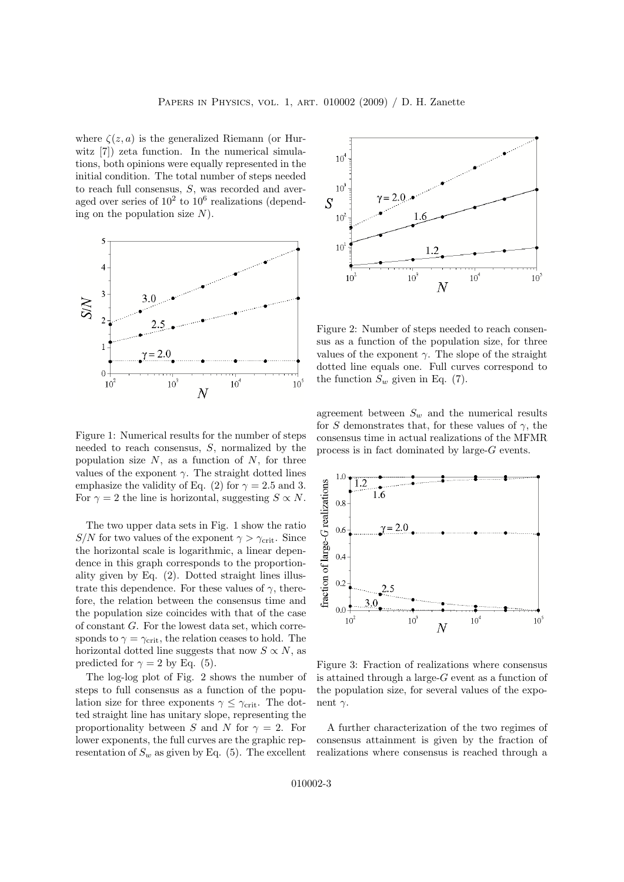where  $\zeta(z, a)$  is the generalized Riemann (or Hurwitz [7]) zeta function. In the numerical simulations, both opinions were equally represented in the initial condition. The total number of steps needed to reach full consensus, S, was recorded and averaged over series of  $10^2$  to  $10^6$  realizations (depending on the population size  $N$ ).



Figure 1: Numerical results for the number of steps needed to reach consensus, S, normalized by the population size  $N$ , as a function of  $N$ , for three values of the exponent  $\gamma$ . The straight dotted lines emphasize the validity of Eq. (2) for  $\gamma = 2.5$  and 3. For  $\gamma = 2$  the line is horizontal, suggesting  $S \propto N$ .

The two upper data sets in Fig. 1 show the ratio S/N for two values of the exponent  $\gamma > \gamma_{\rm crit}$ . Since the horizontal scale is logarithmic, a linear dependence in this graph corresponds to the proportionality given by Eq. (2). Dotted straight lines illustrate this dependence. For these values of  $\gamma$ , therefore, the relation between the consensus time and the population size coincides with that of the case of constant G. For the lowest data set, which corresponds to  $\gamma = \gamma_{\rm crit}$ , the relation ceases to hold. The horizontal dotted line suggests that now  $S \propto N$ , as predicted for  $\gamma = 2$  by Eq. (5).

The log-log plot of Fig. 2 shows the number of steps to full consensus as a function of the population size for three exponents  $\gamma \leq \gamma_{\rm crit}$ . The dotted straight line has unitary slope, representing the proportionality between S and N for  $\gamma = 2$ . For lower exponents, the full curves are the graphic representation of  $S_w$  as given by Eq. (5). The excellent



Figure 2: Number of steps needed to reach consensus as a function of the population size, for three values of the exponent  $\gamma$ . The slope of the straight dotted line equals one. Full curves correspond to the function  $S_w$  given in Eq. (7).

agreement between  $S_w$  and the numerical results for S demonstrates that, for these values of  $\gamma$ , the consensus time in actual realizations of the MFMR process is in fact dominated by large-G events.



Figure 3: Fraction of realizations where consensus is attained through a large- $G$  event as a function of the population size, for several values of the exponent  $\gamma$ .

A further characterization of the two regimes of consensus attainment is given by the fraction of realizations where consensus is reached through a